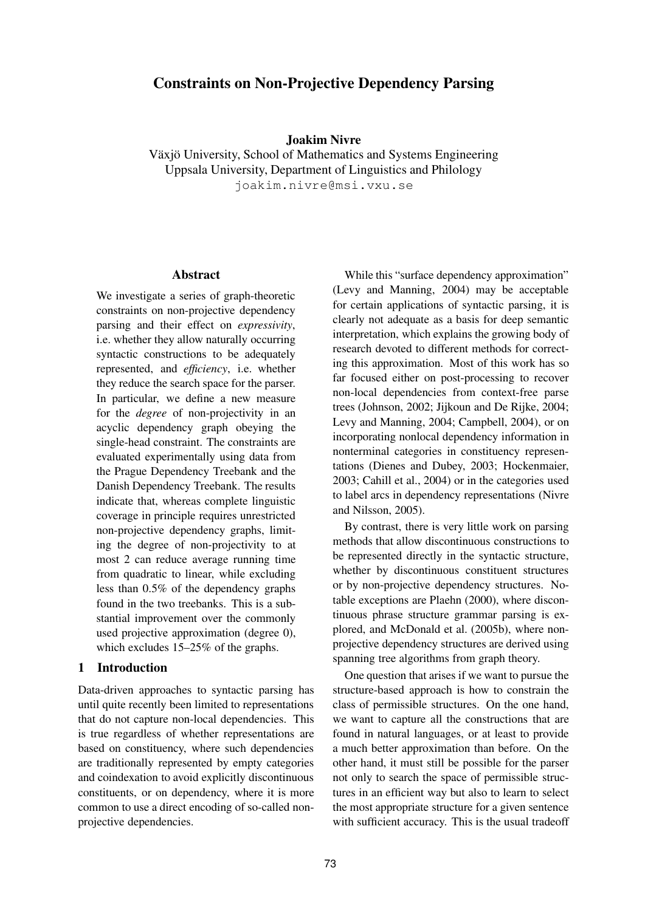# **Constraints on Non-Projective Dependency Parsing**

#### **Joakim Nivre**

Växjö University, School of Mathematics and Systems Engineering Uppsala University, Department of Linguistics and Philology joakim.nivre@msi.vxu.se

#### **Abstract**

We investigate a series of graph-theoretic constraints on non-projective dependency parsing and their effect on *expressivity*, i.e. whether they allow naturally occurring syntactic constructions to be adequately represented, and *efficiency*, i.e. whether they reduce the search space for the parser. In particular, we define a new measure for the *degree* of non-projectivity in an acyclic dependency graph obeying the single-head constraint. The constraints are evaluated experimentally using data from the Prague Dependency Treebank and the Danish Dependency Treebank. The results indicate that, whereas complete linguistic coverage in principle requires unrestricted non-projective dependency graphs, limiting the degree of non-projectivity to at most 2 can reduce average running time from quadratic to linear, while excluding less than 0.5% of the dependency graphs found in the two treebanks. This is a substantial improvement over the commonly used projective approximation (degree 0), which excludes  $15-25\%$  of the graphs.

## **1 Introduction**

Data-driven approaches to syntactic parsing has until quite recently been limited to representations that do not capture non-local dependencies. This is true regardless of whether representations are based on constituency, where such dependencies are traditionally represented by empty categories and coindexation to avoid explicitly discontinuous constituents, or on dependency, where it is more common to use a direct encoding of so-called nonprojective dependencies.

While this "surface dependency approximation" (Levy and Manning, 2004) may be acceptable for certain applications of syntactic parsing, it is clearly not adequate as a basis for deep semantic interpretation, which explains the growing body of research devoted to different methods for correcting this approximation. Most of this work has so far focused either on post-processing to recover non-local dependencies from context-free parse trees (Johnson, 2002; Jijkoun and De Rijke, 2004; Levy and Manning, 2004; Campbell, 2004), or on incorporating nonlocal dependency information in nonterminal categories in constituency representations (Dienes and Dubey, 2003; Hockenmaier, 2003; Cahill et al., 2004) or in the categories used to label arcs in dependency representations (Nivre and Nilsson, 2005).

By contrast, there is very little work on parsing methods that allow discontinuous constructions to be represented directly in the syntactic structure, whether by discontinuous constituent structures or by non-projective dependency structures. Notable exceptions are Plaehn (2000), where discontinuous phrase structure grammar parsing is explored, and McDonald et al. (2005b), where nonprojective dependency structures are derived using spanning tree algorithms from graph theory.

One question that arises if we want to pursue the structure-based approach is how to constrain the class of permissible structures. On the one hand, we want to capture all the constructions that are found in natural languages, or at least to provide a much better approximation than before. On the other hand, it must still be possible for the parser not only to search the space of permissible structures in an efficient way but also to learn to select the most appropriate structure for a given sentence with sufficient accuracy. This is the usual tradeoff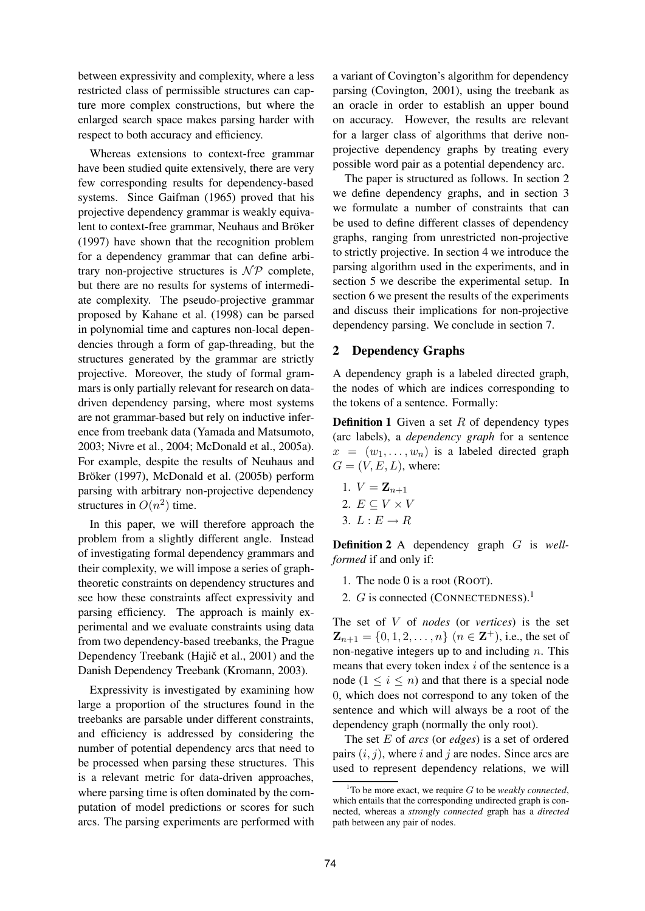between expressivity and complexity, where a less restricted class of permissible structures can capture more complex constructions, but where the enlarged search space makes parsing harder with respect to both accuracy and efficiency.

Whereas extensions to context-free grammar have been studied quite extensively, there are very few corresponding results for dependency-based systems. Since Gaifman (1965) proved that his projective dependency grammar is weakly equivalent to context-free grammar, Neuhaus and Bröker (1997) have shown that the recognition problem for a dependency grammar that can define arbitrary non-projective structures is  $\mathcal{NP}$  complete, but there are no results for systems of intermediate complexity. The pseudo-projective grammar proposed by Kahane et al. (1998) can be parsed in polynomial time and captures non-local dependencies through a form of gap-threading, but the structures generated by the grammar are strictly projective. Moreover, the study of formal grammars is only partially relevant for research on datadriven dependency parsing, where most systems are not grammar-based but rely on inductive inference from treebank data (Yamada and Matsumoto, 2003; Nivre et al., 2004; McDonald et al., 2005a). For example, despite the results of Neuhaus and Bröker (1997), McDonald et al. (2005b) perform parsing with arbitrary non-projective dependency structures in  $O(n^2)$  time.

In this paper, we will therefore approach the problem from a slightly different angle. Instead of investigating formal dependency grammars and their complexity, we will impose a series of graphtheoretic constraints on dependency structures and see how these constraints affect expressivity and parsing efficiency. The approach is mainly experimental and we evaluate constraints using data from two dependency-based treebanks, the Prague Dependency Treebank (Hajič et al., 2001) and the Danish Dependency Treebank (Kromann, 2003).

Expressivity is investigated by examining how large a proportion of the structures found in the treebanks are parsable under different constraints, and efficiency is addressed by considering the number of potential dependency arcs that need to be processed when parsing these structures. This is a relevant metric for data-driven approaches, where parsing time is often dominated by the computation of model predictions or scores for such arcs. The parsing experiments are performed with a variant of Covington's algorithm for dependency parsing (Covington, 2001), using the treebank as an oracle in order to establish an upper bound on accuracy. However, the results are relevant for a larger class of algorithms that derive nonprojective dependency graphs by treating every possible word pair as a potential dependency arc.

The paper is structured as follows. In section 2 we define dependency graphs, and in section 3 we formulate a number of constraints that can be used to define different classes of dependency graphs, ranging from unrestricted non-projective to strictly projective. In section 4 we introduce the parsing algorithm used in the experiments, and in section 5 we describe the experimental setup. In section 6 we present the results of the experiments and discuss their implications for non-projective dependency parsing. We conclude in section 7.

# **2 Dependency Graphs**

A dependency graph is a labeled directed graph, the nodes of which are indices corresponding to the tokens of a sentence. Formally:

**Definition 1** Given a set R of dependency types (arc labels), a *dependency graph* for a sentence  $x = (w_1, \ldots, w_n)$  is a labeled directed graph  $G = (V, E, L)$ , where:

1.  $V = \mathbf{Z}_{n+1}$ 2.  $E \subseteq V \times V$ 3.  $L: E \rightarrow R$ 

**Definition 2** A dependency graph G is *wellformed* if and only if:

- 1. The node 0 is a root (ROOT).
- 2. G is connected (CONNECTEDNESS).<sup>1</sup>

The set of V of *nodes* (or *vertices*) is the set  $\mathbf{Z}_{n+1} = \{0, 1, 2, \dots, n\}$   $(n \in \mathbf{Z}^{+}),$  i.e., the set of non-negative integers up to and including  $n$ . This means that every token index  $i$  of the sentence is a node  $(1 \leq i \leq n)$  and that there is a special node 0, which does not correspond to any token of the sentence and which will always be a root of the dependency graph (normally the only root).

The set E of *arcs* (or *edges*) is a set of ordered pairs  $(i, j)$ , where i and j are nodes. Since arcs are used to represent dependency relations, we will

 $1$ To be more exact, we require G to be *weakly connected*, which entails that the corresponding undirected graph is connected, whereas a *strongly connected* graph has a *directed* path between any pair of nodes.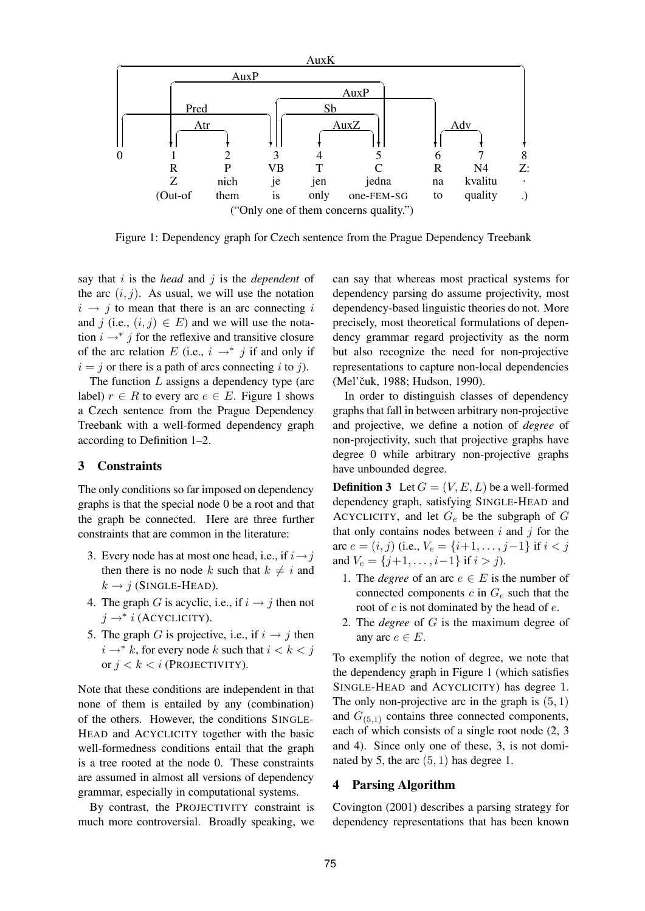

Figure 1: Dependency graph for Czech sentence from the Prague Dependency Treebank

say that i is the *head* and j is the *dependent* of the arc  $(i, j)$ . As usual, we will use the notation  $i \rightarrow j$  to mean that there is an arc connecting i and j (i.e.,  $(i, j) \in E$ ) and we will use the notation  $i \rightarrow * j$  for the reflexive and transitive closure of the arc relation E (i.e.,  $i \rightarrow^* j$  if and only if  $i = j$  or there is a path of arcs connecting i to j).

The function  $L$  assigns a dependency type (arc label)  $r \in R$  to every arc  $e \in E$ . Figure 1 shows a Czech sentence from the Prague Dependency Treebank with a well-formed dependency graph according to Definition 1–2.

# **3 Constraints**

The only conditions so far imposed on dependency graphs is that the special node 0 be a root and that the graph be connected. Here are three further constraints that are common in the literature:

- 3. Every node has at most one head, i.e., if  $i \rightarrow j$ then there is no node k such that  $k \neq i$  and  $k \rightarrow j$  (SINGLE-HEAD).
- 4. The graph G is acyclic, i.e., if  $i \rightarrow j$  then not  $j \rightarrow^* i$  (ACYCLICITY).
- 5. The graph G is projective, i.e., if  $i \rightarrow j$  then  $i \rightarrow^* k$ , for every node k such that  $i < k < j$ or  $j < k < i$  (Projectivity).

Note that these conditions are independent in that none of them is entailed by any (combination) of the others. However, the conditions SINGLE-HEAD and ACYCLICITY together with the basic well-formedness conditions entail that the graph is a tree rooted at the node 0. These constraints are assumed in almost all versions of dependency grammar, especially in computational systems.

By contrast, the PROJECTIVITY constraint is much more controversial. Broadly speaking, we

can say that whereas most practical systems for dependency parsing do assume projectivity, most dependency-based linguistic theories do not. More precisely, most theoretical formulations of dependency grammar regard projectivity as the norm but also recognize the need for non-projective representations to capture non-local dependencies (Mel'čuk, 1988; Hudson, 1990).

In order to distinguish classes of dependency graphs that fall in between arbitrary non-projective and projective, we define a notion of *degree* of non-projectivity, such that projective graphs have degree 0 while arbitrary non-projective graphs have unbounded degree.

**Definition 3** Let  $G = (V, E, L)$  be a well-formed dependency graph, satisfying SINGLE-HEAD and ACYCLICITY, and let  $G_e$  be the subgraph of  $G$ that only contains nodes between  $i$  and  $j$  for the arc  $e = (i, j)$  (i.e.,  $V_e = \{i+1, \ldots, j-1\}$  if  $i < j$ and  $V_e = \{j+1, \ldots, i-1\}$  if  $i > j$ ).

- 1. The *degree* of an arc  $e \in E$  is the number of connected components  $c$  in  $G_e$  such that the root of  $c$  is not dominated by the head of  $e$ .
- 2. The *degree* of G is the maximum degree of any arc  $e \in E$ .

To exemplify the notion of degree, we note that the dependency graph in Figure 1 (which satisfies SINGLE-HEAD and ACYCLICITY) has degree 1. The only non-projective arc in the graph is  $(5, 1)$ and  $G_{(5,1)}$  contains three connected components, each of which consists of a single root node (2, 3 and 4). Since only one of these, 3, is not dominated by 5, the arc  $(5, 1)$  has degree 1.

## **4 Parsing Algorithm**

Covington (2001) describes a parsing strategy for dependency representations that has been known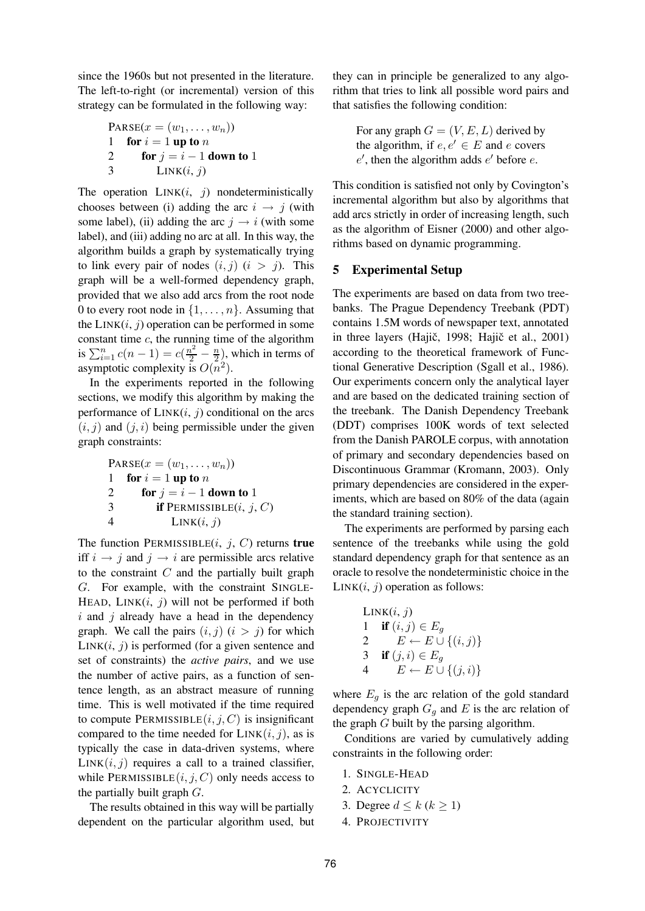since the 1960s but not presented in the literature. The left-to-right (or incremental) version of this strategy can be formulated in the following way:

PARSE(
$$
x = (w_1, \ldots, w_n)
$$
)

\n1 for  $i = 1$  up to  $n$ 

\n2 for  $j = i - 1$  down to  $1$ 

\n3  $\qquad$  LINK( $i, j$ )

The operation  $LINK(i, j)$  nondeterministically chooses between (i) adding the arc  $i \rightarrow j$  (with some label), (ii) adding the arc  $j \rightarrow i$  (with some label), and (iii) adding no arc at all. In this way, the algorithm builds a graph by systematically trying to link every pair of nodes  $(i, j)$   $(i > j)$ . This graph will be a well-formed dependency graph, provided that we also add arcs from the root node 0 to every root node in  $\{1,\ldots,n\}$ . Assuming that the  $LINK(i, j)$  operation can be performed in some constant time  $c$ , the running time of the algorithm is  $\sum_{i=1}^{n} c(n-1) = c(\frac{n^2}{2} - \frac{n}{2})$ , which in terms of asymptotic complexity is  $O(n^2)$ .

In the experiments reported in the following sections, we modify this algorithm by making the performance of  $LINK(i, j)$  conditional on the arcs  $(i, j)$  and  $(j, i)$  being permissible under the given graph constraints:

PARSE(
$$
x = (w_1, \ldots, w_n)
$$
)

\n1 for  $i = 1$  up to  $n$ 

\n2 for  $j = i - 1$  down to 1

\n3 if PERMISSIBLE( $i, j, C$ )

\n4

\nLINK( $i, j$ )

The function PERMISSIBLE $(i, j, C)$  returns **true** iff  $i \rightarrow j$  and  $j \rightarrow i$  are permissible arcs relative to the constraint  $C$  and the partially built graph G. For example, with the constraint SINGLE-HEAD,  $LINK(i, j)$  will not be performed if both  $i$  and  $j$  already have a head in the dependency graph. We call the pairs  $(i, j)$   $(i > j)$  for which  $LINK(i, j)$  is performed (for a given sentence and set of constraints) the *active pairs*, and we use the number of active pairs, as a function of sentence length, as an abstract measure of running time. This is well motivated if the time required to compute PERMISSIBLE $(i, j, C)$  is insignificant compared to the time needed for  $LINK(i, j)$ , as is typically the case in data-driven systems, where  $LINK(i, j)$  requires a call to a trained classifier, while PERMISSIBLE $(i, j, C)$  only needs access to the partially built graph  $G$ .

The results obtained in this way will be partially dependent on the particular algorithm used, but they can in principle be generalized to any algorithm that tries to link all possible word pairs and that satisfies the following condition:

> For any graph  $G = (V, E, L)$  derived by the algorithm, if  $e, e' \in E$  and e covers  $e'$ , then the algorithm adds  $e'$  before  $e$ .

This condition is satisfied not only by Covington's incremental algorithm but also by algorithms that add arcs strictly in order of increasing length, such as the algorithm of Eisner (2000) and other algorithms based on dynamic programming.

## **5 Experimental Setup**

The experiments are based on data from two treebanks. The Prague Dependency Treebank (PDT) contains 1.5M words of newspaper text, annotated in three layers (Hajič, 1998; Hajič et al., 2001) according to the theoretical framework of Functional Generative Description (Sgall et al., 1986). Our experiments concern only the analytical layer and are based on the dedicated training section of the treebank. The Danish Dependency Treebank (DDT) comprises 100K words of text selected from the Danish PAROLE corpus, with annotation of primary and secondary dependencies based on Discontinuous Grammar (Kromann, 2003). Only primary dependencies are considered in the experiments, which are based on 80% of the data (again the standard training section).

The experiments are performed by parsing each sentence of the treebanks while using the gold standard dependency graph for that sentence as an oracle to resolve the nondeterministic choice in the  $LINK(i, j)$  operation as follows:

$$
\begin{array}{ll}\n\text{LINK}(i, j) \\
1 & \text{if } (i, j) \in E_g \\
2 & E \leftarrow E \cup \{(i, j)\} \\
3 & \text{if } (j, i) \in E_g \\
4 & E \leftarrow E \cup \{(j, i)\}\n\end{array}
$$

where  $E_q$  is the arc relation of the gold standard dependency graph  $G<sub>q</sub>$  and E is the arc relation of the graph G built by the parsing algorithm.

Conditions are varied by cumulatively adding constraints in the following order:

- 1. SINGLE-HEAD
- 2. ACYCLICITY
- 3. Degree  $d \leq k (k \geq 1)$
- 4. PROJECTIVITY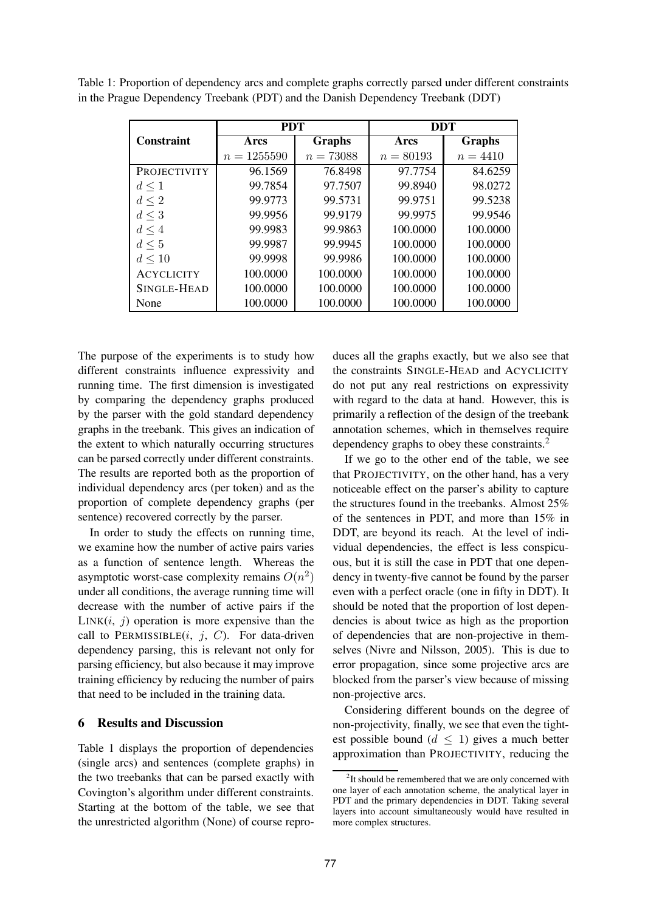|                   | <b>PDT</b>    |             | <b>DDT</b>  |            |  |
|-------------------|---------------|-------------|-------------|------------|--|
| <b>Constraint</b> | Arcs          | Graphs      | Arcs        | Graphs     |  |
|                   | $n = 1255590$ | $n = 73088$ | $n = 80193$ | $n = 4410$ |  |
| PROJECTIVITY      | 96.1569       | 76.8498     | 97.7754     | 84.6259    |  |
| $d \leq 1$        | 99.7854       | 97.7507     | 99.8940     | 98.0272    |  |
| $d \leq 2$        | 99.9773       | 99.5731     | 99.9751     | 99.5238    |  |
| $d \leq 3$        | 99.9956       | 99.9179     | 99.9975     | 99.9546    |  |
| $d \leq 4$        | 99.9983       | 99.9863     | 100.0000    | 100.0000   |  |
| $d \leq 5$        | 99.9987       | 99.9945     | 100.0000    | 100.0000   |  |
| $d \leq 10$       | 99.9998       | 99.9986     | 100.0000    | 100.0000   |  |
| <b>ACYCLICITY</b> | 100.0000      | 100.0000    | 100.0000    | 100.0000   |  |
| SINGLE-HEAD       | 100.0000      | 100.0000    | 100.0000    | 100.0000   |  |
| None              | 100.0000      | 100.0000    | 100.0000    | 100.0000   |  |

Table 1: Proportion of dependency arcs and complete graphs correctly parsed under different constraints in the Prague Dependency Treebank (PDT) and the Danish Dependency Treebank (DDT)

The purpose of the experiments is to study how different constraints influence expressivity and running time. The first dimension is investigated by comparing the dependency graphs produced by the parser with the gold standard dependency graphs in the treebank. This gives an indication of the extent to which naturally occurring structures can be parsed correctly under different constraints. The results are reported both as the proportion of individual dependency arcs (per token) and as the proportion of complete dependency graphs (per sentence) recovered correctly by the parser.

In order to study the effects on running time, we examine how the number of active pairs varies as a function of sentence length. Whereas the asymptotic worst-case complexity remains  $O(n^2)$ under all conditions, the average running time will decrease with the number of active pairs if the  $LINK(i, j)$  operation is more expensive than the call to PERMISSIBLE $(i, j, C)$ . For data-driven dependency parsing, this is relevant not only for parsing efficiency, but also because it may improve training efficiency by reducing the number of pairs that need to be included in the training data.

#### **6 Results and Discussion**

Table 1 displays the proportion of dependencies (single arcs) and sentences (complete graphs) in the two treebanks that can be parsed exactly with Covington's algorithm under different constraints. Starting at the bottom of the table, we see that the unrestricted algorithm (None) of course reproduces all the graphs exactly, but we also see that the constraints SINGLE-HEAD and ACYCLICITY do not put any real restrictions on expressivity with regard to the data at hand. However, this is primarily a reflection of the design of the treebank annotation schemes, which in themselves require dependency graphs to obey these constraints.<sup>2</sup>

If we go to the other end of the table, we see that PROJECTIVITY, on the other hand, has a very noticeable effect on the parser's ability to capture the structures found in the treebanks. Almost 25% of the sentences in PDT, and more than 15% in DDT, are beyond its reach. At the level of individual dependencies, the effect is less conspicuous, but it is still the case in PDT that one dependency in twenty-five cannot be found by the parser even with a perfect oracle (one in fifty in DDT). It should be noted that the proportion of lost dependencies is about twice as high as the proportion of dependencies that are non-projective in themselves (Nivre and Nilsson, 2005). This is due to error propagation, since some projective arcs are blocked from the parser's view because of missing non-projective arcs.

Considering different bounds on the degree of non-projectivity, finally, we see that even the tightest possible bound ( $d \leq 1$ ) gives a much better approximation than PROJECTIVITY, reducing the

<sup>&</sup>lt;sup>2</sup>It should be remembered that we are only concerned with one layer of each annotation scheme, the analytical layer in PDT and the primary dependencies in DDT. Taking several layers into account simultaneously would have resulted in more complex structures.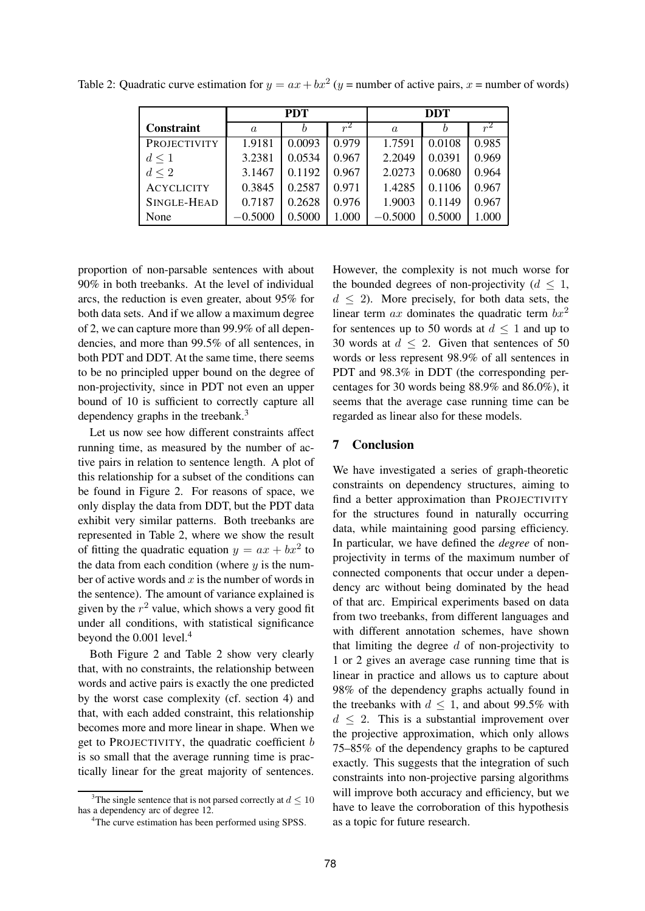|                     | <b>PDT</b> |        |       | <b>DDT</b>       |        |       |
|---------------------|------------|--------|-------|------------------|--------|-------|
| <b>Constraint</b>   | $\alpha$   |        | $r^2$ | $\boldsymbol{a}$ |        |       |
| <b>PROJECTIVITY</b> | 1.9181     | 0.0093 | 0.979 | 1.7591           | 0.0108 | 0.985 |
| $d \leq 1$          | 3.2381     | 0.0534 | 0.967 | 2.2049           | 0.0391 | 0.969 |
| $d \leq 2$          | 3.1467     | 0.1192 | 0.967 | 2.0273           | 0.0680 | 0.964 |
| <b>ACYCLICITY</b>   | 0.3845     | 0.2587 | 0.971 | 1.4285           | 0.1106 | 0.967 |
| SINGLE-HEAD         | 0.7187     | 0.2628 | 0.976 | 1.9003           | 0.1149 | 0.967 |
| None                | $-0.5000$  | 0.5000 | 1.000 | $-0.5000$        | 0.5000 | 1.000 |

Table 2: Quadratic curve estimation for  $y = ax + bx^2$  (y = number of active pairs, x = number of words)

proportion of non-parsable sentences with about 90% in both treebanks. At the level of individual arcs, the reduction is even greater, about 95% for both data sets. And if we allow a maximum degree of 2, we can capture more than 99.9% of all dependencies, and more than 99.5% of all sentences, in both PDT and DDT. At the same time, there seems to be no principled upper bound on the degree of non-projectivity, since in PDT not even an upper bound of 10 is sufficient to correctly capture all dependency graphs in the treebank.<sup>3</sup>

Let us now see how different constraints affect running time, as measured by the number of active pairs in relation to sentence length. A plot of this relationship for a subset of the conditions can be found in Figure 2. For reasons of space, we only display the data from DDT, but the PDT data exhibit very similar patterns. Both treebanks are represented in Table 2, where we show the result of fitting the quadratic equation  $y = ax + bx^2$  to the data from each condition (where  $y$  is the number of active words and  $x$  is the number of words in the sentence). The amount of variance explained is given by the  $r^2$  value, which shows a very good fit under all conditions, with statistical significance beyond the 0.001 level.<sup>4</sup>

Both Figure 2 and Table 2 show very clearly that, with no constraints, the relationship between words and active pairs is exactly the one predicted by the worst case complexity (cf. section 4) and that, with each added constraint, this relationship becomes more and more linear in shape. When we get to PROJECTIVITY, the quadratic coefficient  $b$ is so small that the average running time is practically linear for the great majority of sentences.

However, the complexity is not much worse for the bounded degrees of non-projectivity ( $d \leq 1$ ,  $d \leq 2$ ). More precisely, for both data sets, the linear term ax dominates the quadratic term  $bx^2$ for sentences up to 50 words at  $d \leq 1$  and up to 30 words at  $d \leq 2$ . Given that sentences of 50 words or less represent 98.9% of all sentences in PDT and 98.3% in DDT (the corresponding percentages for 30 words being 88.9% and 86.0%), it seems that the average case running time can be regarded as linear also for these models.

## **7 Conclusion**

We have investigated a series of graph-theoretic constraints on dependency structures, aiming to find a better approximation than PROJECTIVITY for the structures found in naturally occurring data, while maintaining good parsing efficiency. In particular, we have defined the *degree* of nonprojectivity in terms of the maximum number of connected components that occur under a dependency arc without being dominated by the head of that arc. Empirical experiments based on data from two treebanks, from different languages and with different annotation schemes, have shown that limiting the degree  $d$  of non-projectivity to 1 or 2 gives an average case running time that is linear in practice and allows us to capture about 98% of the dependency graphs actually found in the treebanks with  $d \leq 1$ , and about 99.5% with  $d \leq 2$ . This is a substantial improvement over the projective approximation, which only allows 75–85% of the dependency graphs to be captured exactly. This suggests that the integration of such constraints into non-projective parsing algorithms will improve both accuracy and efficiency, but we have to leave the corroboration of this hypothesis as a topic for future research.

<sup>&</sup>lt;sup>3</sup>The single sentence that is not parsed correctly at  $d \leq 10$ has a dependency arc of degree 12.

<sup>4</sup>The curve estimation has been performed using SPSS.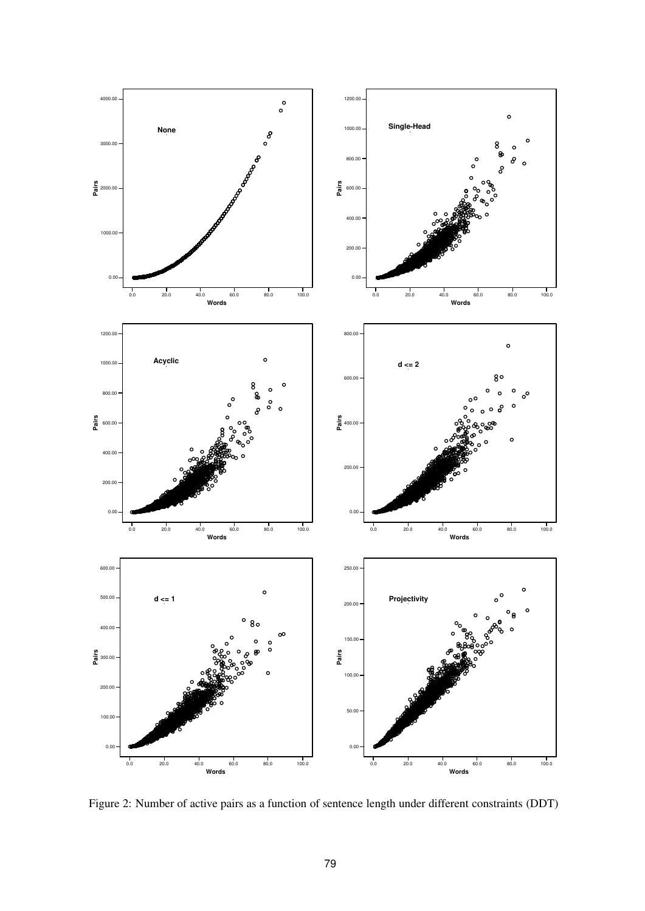

Figure 2: Number of active pairs as a function of sentence length under different constraints (DDT)